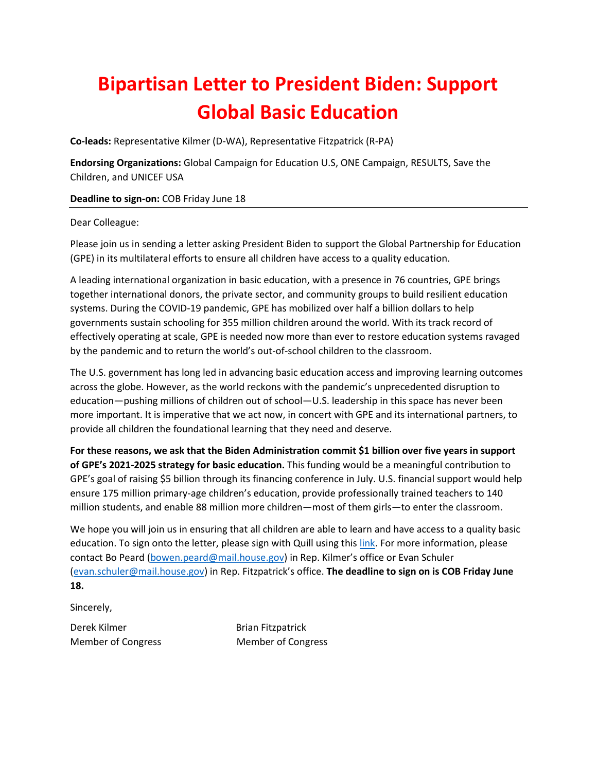## **Bipartisan Letter to President Biden: Support Global Basic Education**

**Co-leads:** Representative Kilmer (D-WA), Representative Fitzpatrick (R-PA)

**Endorsing Organizations:** Global Campaign for Education U.S, ONE Campaign, RESULTS, Save the Children, and UNICEF USA

**Deadline to sign-on:** COB Friday June 18

## Dear Colleague:

Please join us in sending a letter asking President Biden to support the Global Partnership for Education (GPE) in its multilateral efforts to ensure all children have access to a quality education.

A leading international organization in basic education, with a presence in 76 countries, GPE brings together international donors, the private sector, and community groups to build resilient education systems. During the COVID-19 pandemic, GPE has mobilized over half a billion dollars to help governments sustain schooling for 355 million children around the world. With its track record of effectively operating at scale, GPE is needed now more than ever to restore education systems ravaged by the pandemic and to return the world's out-of-school children to the classroom.

The U.S. government has long led in advancing basic education access and improving learning outcomes across the globe. However, as the world reckons with the pandemic's unprecedented disruption to education—pushing millions of children out of school—U.S. leadership in this space has never been more important. It is imperative that we act now, in concert with GPE and its international partners, to provide all children the foundational learning that they need and deserve.

**For these reasons, we ask that the Biden Administration commit \$1 billion over five years in support of GPE's 2021-2025 strategy for basic education.** This funding would be a meaningful contribution to GPE's goal of raising \$5 billion through its financing conference in July. U.S. financial support would help ensure 175 million primary-age children's education, provide professionally trained teachers to 140 million students, and enable 88 million more children—most of them girls—to enter the classroom.

We hope you will join us in ensuring that all children are able to learn and have access to a quality basic education. To sign onto the letter, please sign with Quill using this [link.](https://quill.senate.gov/letters/letter/824/opt-in/view/24948a07-a6cf-42ff-b137-99662c0a2158/) For more information, please contact Bo Peard [\(bowen.peard@mail.house.gov](mailto:bowen.peard@mail.house.gov)) in Rep. Kilmer's office or Evan Schuler [\(evan.schuler@mail.house.gov](mailto:evan.schuler@mail.house.gov)) in Rep. Fitzpatrick's office. **The deadline to sign on is COB Friday June 18.**

Sincerely,

Derek Kilmer **Brian Fitzpatrick** 

Member of Congress Member of Congress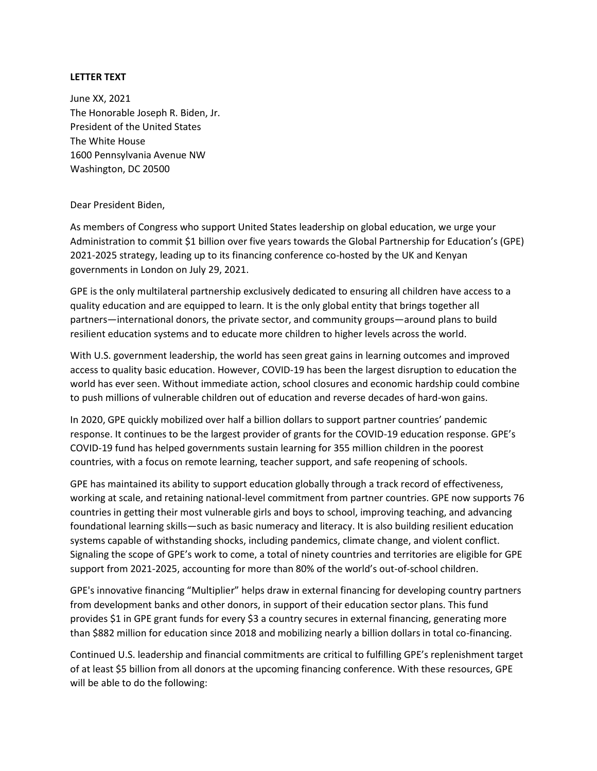## **LETTER TEXT**

June XX, 2021 The Honorable Joseph R. Biden, Jr. President of the United States The White House 1600 Pennsylvania Avenue NW Washington, DC 20500

## Dear President Biden,

As members of Congress who support United States leadership on global education, we urge your Administration to commit \$1 billion over five years towards the Global Partnership for Education's (GPE) 2021-2025 strategy, leading up to its financing conference co-hosted by the UK and Kenyan governments in London on July 29, 2021.

GPE is the only multilateral partnership exclusively dedicated to ensuring all children have access to a quality education and are equipped to learn. It is the only global entity that brings together all partners—international donors, the private sector, and community groups—around plans to build resilient education systems and to educate more children to higher levels across the world.

With U.S. government leadership, the world has seen great gains in learning outcomes and improved access to quality basic education. However, COVID-19 has been the largest disruption to education the world has ever seen. Without immediate action, school closures and economic hardship could combine to push millions of vulnerable children out of education and reverse decades of hard-won gains.

In 2020, GPE quickly mobilized over half a billion dollars to support partner countries' pandemic response. It continues to be the largest provider of grants for the COVID-19 education response. GPE's COVID-19 fund has helped governments sustain learning for 355 million children in the poorest countries, with a focus on remote learning, teacher support, and safe reopening of schools.

GPE has maintained its ability to support education globally through a track record of effectiveness, working at scale, and retaining national-level commitment from partner countries. GPE now supports 76 countries in getting their most vulnerable girls and boys to school, improving teaching, and advancing foundational learning skills—such as basic numeracy and literacy. It is also building resilient education systems capable of withstanding shocks, including pandemics, climate change, and violent conflict. Signaling the scope of GPE's work to come, a total of ninety countries and territories are eligible for GPE support from 2021-2025, accounting for more than 80% of the world's out-of-school children.

GPE's innovative financing "Multiplier" helps draw in external financing for developing country partners from development banks and other donors, in support of their education sector plans. This fund provides \$1 in GPE grant funds for every \$3 a country secures in external financing, generating more than \$882 million for education since 2018 and mobilizing nearly a billion dollars in total co-financing.

Continued U.S. leadership and financial commitments are critical to fulfilling GPE's replenishment target of at least \$5 billion from all donors at the upcoming financing conference. With these resources, GPE will be able to do the following: